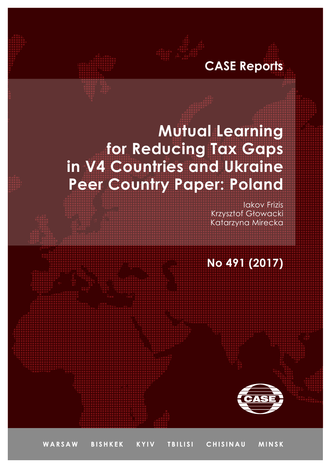## **CASE Reports**

# **Mutual Learning for Reducing Tax Gaps in V4 Countries and Ukraine Peer Country Paper: Poland**

Iakov Frizis Krzysztof Głowacki Katarzyna Mirecka

### **No 491 (2017)**

WARSAW **BISHKEK KYIV TBILISI** CHISINAU **MINSK**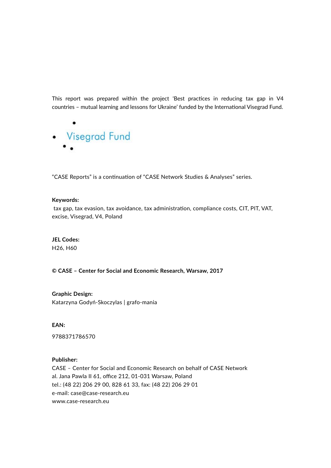This report was prepared within the project 'Best practices in reducing tax gap in V4 countries – mutual learning and lessons for Ukraine' funded by the International Visegrad Fund.



"CASE Reports" is a continuation of "CASE Network Studies & Analyses" series.

#### **Keywords:**

 tax gap, tax evasion, tax avoidance, tax administration, compliance costs, CIT, PIT, VAT, excise, Visegrad, V4, Poland

#### **JEL Codes:**

H26, H60

#### **© CASE – Center for Social and Economic Research, Warsaw, 2017**

**Graphic Design:** Katarzyna Godyń-Skoczylas | grafo-mania

**EAN:** 

9788371786570

#### **Publisher:**

CASE *–* Center for Social and Economic Research on behalf of CASE Network al. Jana Pawla II 61, office 212, 01-031 Warsaw, Poland tel.: (48 22) 206 29 00, 828 61 33, fax: (48 22) 206 29 01 e-mail: case@case-research.eu www.case-research.eu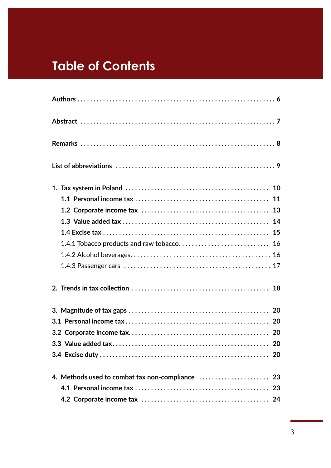### **Table of Contents**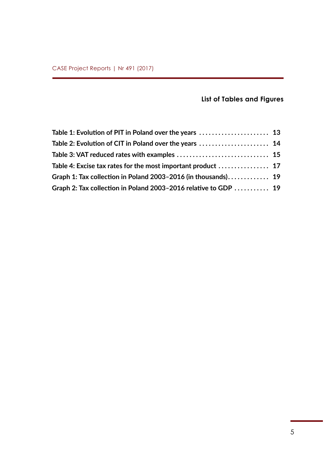### **List of Tables and Figures**

| Table 2: Evolution of CIT in Poland over the years  14          |  |
|-----------------------------------------------------------------|--|
|                                                                 |  |
| Table 4: Excise tax rates for the most important product  17    |  |
| Graph 1: Tax collection in Poland 2003-2016 (in thousands) 19   |  |
| Graph 2: Tax collection in Poland 2003-2016 relative to GDP  19 |  |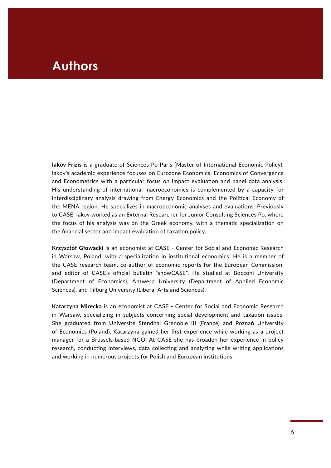### **Authors**

**Iakov Frizis** is a graduate of Sciences Po Paris (Master of International Economic Policy). Iakov's academic experience focuses on Eurozone Economics, Economics of Convergence and Econometrics with a particular focus on impact evaluation and panel data analysis. His understanding of international macroeconomics is complemented by a capacity for interdisciplinary analysis drawing from Energy Economics and the Political Economy of the MENA region. He specializes in macroeconomic analyses and evaluations. Previously to CASE, Iakov worked as an External Researcher for Junior Consulting Sciences Po, where the focus of his analysis was on the Greek economy, with a thematic specialization on the financial sector and impact evaluation of taxation policy.

**Krzysztof Głowacki** is an economist at CASE - Center for Social and Economic Research in Warsaw, Poland, with a specialization in institutional economics. He is a member of the CASE research team, co-author of economic reports for the European Commission, and editor of CASE's official bulletin "showCASE". He studied at Bocconi University (Department of Economics), Antwerp University (Department of Applied Economic Sciences), and Tilburg University (Liberal Arts and Sciences).

**Katarzyna Mirecka** is an economist at CASE - Center for Social and Economic Research in Warsaw, specializing in subjects concerning social development and taxation issues. She graduated from Université Stendhal Grenoble III (France) and Poznań University of Economics (Poland). Katarzyna gained her first experience while working as a project manager for a Brussels-based NGO. At CASE she has broaden her experience in policy research, conducting interviews, data collecting and analyzing while writing applications and working in numerous projects for Polish and European institutions.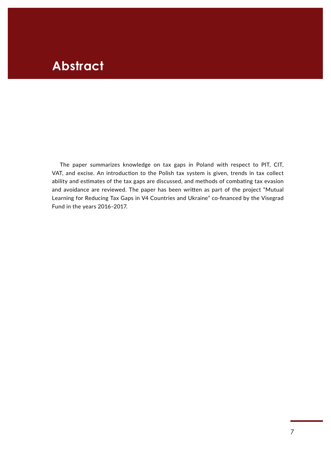### **Abstract**

The paper summarizes knowledge on tax gaps in Poland with respect to PIT, CIT, VAT, and excise. An introduction to the Polish tax system is given, trends in tax collect ability and estimates of the tax gaps are discussed, and methods of combating tax evasion and avoidance are reviewed. The paper has been written as part of the project "Mutual Learning for Reducing Tax Gaps in V4 Countries and Ukraine" co-financed by the Visegrad Fund in the years 2016-2017.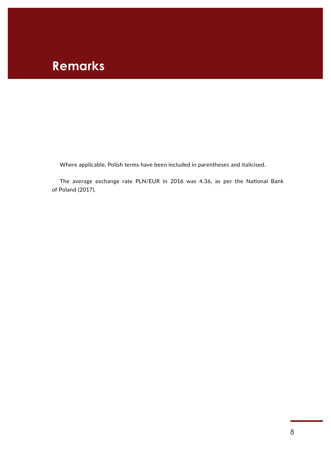### **Remarks**

Where applicable, Polish terms have been included in parentheses and italicised.

The average exchange rate PLN/EUR in 2016 was 4.36, as per the National Bank of Poland (2017).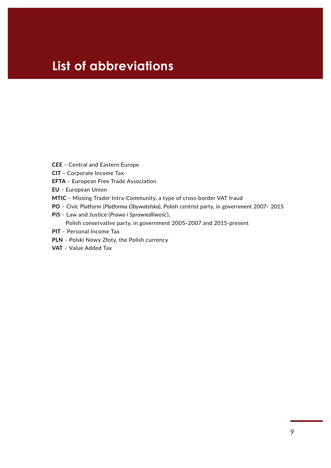### **List of abbreviations**

- **CEE** ‒ Central and Eastern Europe
- **CIT** ‒ Corporate Income Tax
- **EFTA** ‒ European Free Trade Association
- **EU** ‒ European Union
- **MTIC** ‒ Missing Trader Intra-Community, a type of cross-border VAT fraud
- PO Civic Platform (Platforma Obywatelska), Polish centrist party, in government 2007- 2015
- **PiS** ‒ Law and Justice (*Prawo i Sprawiedliwość*),
	- Polish conservative party, in government 2005-2007 and 2015-present
- **PIT** Personal Income Tax
- **PLN** ‒ Polski Nowy Złoty, the Polish currency
- **VAT** ‒ Value Added Tax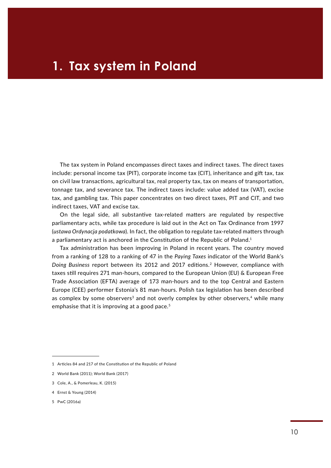The tax system in Poland encompasses direct taxes and indirect taxes. The direct taxes include: personal income tax (PIT), corporate income tax (CIT), inheritance and gift tax, tax on civil law transactions, agricultural tax, real property tax, tax on means of transportation, tonnage tax, and severance tax. The indirect taxes include: value added tax (VAT), excise tax, and gambling tax. This paper concentrates on two direct taxes, PIT and CIT, and two indirect taxes, VAT and excise tax.

On the legal side, all substantive tax-related matters are regulated by respective parliamentary acts, while tax procedure is laid out in the Act on Tax Ordinance from 1997 (*ustawa Ordynacja podatkowa*). In fact, the obligation to regulate tax-related matters through a parliamentary act is anchored in the Constitution of the Republic of Poland.<sup>1</sup>

Tax administration has been improving in Poland in recent years. The country moved from a ranking of 128 to a ranking of 47 in the *Paying Taxes* indicator of the World Bank's *Doing Business* report between its 2012 and 2017 editions.2 However, compliance with taxes still requires 271 man-hours, compared to the European Union (EU) & European Free Trade Association (EFTA) average of 173 man-hours and to the top Central and Eastern Europe (CEE) performer Estonia's 81 man-hours. Polish tax legislation has been described as complex by some observers<sup>3</sup> and not overly complex by other observers,<sup>4</sup> while many emphasise that it is improving at a good pace.<sup>5</sup>

<sup>1</sup> Articles 84 and 217 of the Constitution of the Republic of Poland

<sup>2</sup> World Bank (2011); World Bank (2017)

<sup>3</sup> Cole, A., & Pomerleau, K. (2015)

<sup>4</sup> Ernst & Young (2014)

<sup>5</sup> PwC (2016a)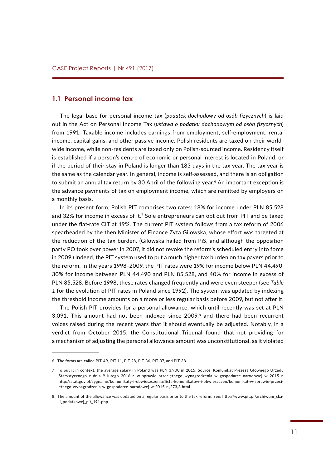#### **1.1 Personal income tax**

The legal base for personal income tax (*podatek dochodowy od osób fizycznych*) is laid out in the Act on Personal Income Tax (*ustawa o podatku dochodowym od osób fizycznych*) from 1991. Taxable income includes earnings from employment, self-employment, rental income, capital gains, and other passive income. Polish residents are taxed on their worldwide income, while non-residents are taxed only on Polish-sourced income. Residency itself is established if a person's centre of economic or personal interest is located in Poland, or if the period of their stay in Poland is longer than 183 days in the tax year. The tax year is the same as the calendar year. In general, income is self-assessed, and there is an obligation to submit an annual tax return by 30 April of the following year.<sup>6</sup> An important exception is the advance payments of tax on employment income, which are remitted by employers on a monthly basis.

In its present form, Polish PIT comprises two rates: 18% for income under PLN 85,528 and 32% for income in excess of it.<sup>7</sup> Sole entrepreneurs can opt out from PIT and be taxed under the flat-rate CIT at 19%. The current PIT system follows from a tax reform of 2006 spearheaded by the then Minister of Finance Zyta Gilowska, whose effort was targeted at the reduction of the tax burden. (Gilowska hailed from PiS, and although the opposition party PO took over power in 2007, it did not revoke the reform's scheduled entry into force in 2009.) Indeed, the PIT system used to put a much higher tax burden on tax payers prior to the reform. In the years 1998-2009, the PIT rates were 19% for income below PLN 44,490, 30% for income between PLN 44,490 and PLN 85,528, and 40% for income in excess of PLN 85,528. Before 1998, these rates changed frequently and were even steeper (see *Table 1* for the evolution of PIT rates in Poland since 1992). The system was updated by indexing the threshold income amounts on a more or less regular basis before 2009, but not after it.

The Polish PIT provides for a personal allowance, which until recently was set at PLN 3,091. This amount had not been indexed since  $2009$ ,<sup>8</sup> and there had been recurrent voices raised during the recent years that it should eventually be adjusted. Notably, in a verdict from October 2015, the Constitutional Tribunal found that not providing for a mechanism of adjusting the personal allowance amount was unconstitutional, as it violated

<sup>6</sup> The forms are called PIT-4R, PIT-11, PIT-28, PIT-36, PIT-37, and PIT-38.

<sup>7</sup> To put it in context, the average salary in Poland was PLN 3,900 in 2015. Source: Komunikat Prezesa Głównego Urzędu Statystycznego z dnia 9 lutego 2016 r. w sprawie przeciętnego wynagrodzenia w gospodarce narodowej w 2015 r. [http://stat.gov.pl/sygnalne/komunikaty-i-obwieszczenia/lista-komunikatow-i-obwieszczen/komunikat-w-sprawie-przeci](http://stat.gov.pl/sygnalne/komunikaty-i-obwieszczenia/lista-komunikatow-i-obwieszczen/komunikat-w-sprawie-przecietnego-wynagrodzenia-w-gospodarce-narodowej-w-2015-r-,273,3.html)[etnego-wynagrodzenia-w-gospodarce-narodowej-w-2015-r-,273,3.html](http://stat.gov.pl/sygnalne/komunikaty-i-obwieszczenia/lista-komunikatow-i-obwieszczen/komunikat-w-sprawie-przecietnego-wynagrodzenia-w-gospodarce-narodowej-w-2015-r-,273,3.html)

<sup>8</sup> The amount of the allowance was updated on a regular basis prior to the tax reform. See: [http://www.pit.pl/archiwum\\_ska](http://www.pit.pl/archiwum_skali_podatkowej_pit_191.php)[li\\_podatkowej\\_pit\\_191.php](http://www.pit.pl/archiwum_skali_podatkowej_pit_191.php)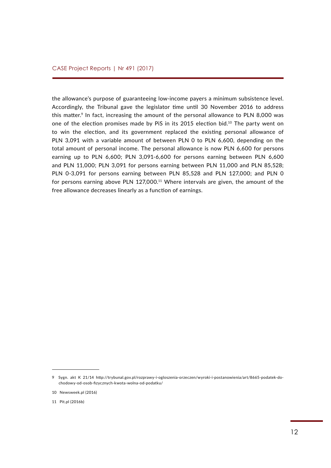the allowance's purpose of guaranteeing low-income payers a minimum subsistence level. Accordingly, the Tribunal gave the legislator time until 30 November 2016 to address this matter.<sup>9</sup> In fact, increasing the amount of the personal allowance to PLN 8,000 was one of the election promises made by PiS in its 2015 election bid.<sup>10</sup> The party went on to win the election, and its government replaced the existing personal allowance of PLN 3,091 with a variable amount of between PLN 0 to PLN 6,600, depending on the total amount of personal income. The personal allowance is now PLN 6,600 for persons earning up to PLN 6,600; PLN 3,091-6,600 for persons earning between PLN 6,600 and PLN 11,000; PLN 3,091 for persons earning between PLN 11,000 and PLN 85,528; PLN 0-3,091 for persons earning between PLN 85,528 and PLN 127,000; and PLN 0 for persons earning above PLN 127,000.<sup>11</sup> Where intervals are given, the amount of the free allowance decreases linearly as a function of earnings.

<sup>9</sup> Sygn. akt K 21/14 [http://trybunal.gov.pl/rozprawy-i-ogloszenia-orzeczen/wyroki-i-postanowienia/art/8665-podatek-do](http://trybunal.gov.pl/rozprawy-i-ogloszenia-orzeczen/wyroki-i-postanowienia/art/8665-podatek-dochodowy-od-osob-fizycznych-kwota-wolna-od-podatku/)[chodowy-od-osob-fizycznych-kwota-wolna-od-podatku/](http://trybunal.gov.pl/rozprawy-i-ogloszenia-orzeczen/wyroki-i-postanowienia/art/8665-podatek-dochodowy-od-osob-fizycznych-kwota-wolna-od-podatku/)

<sup>10</sup> Newsweek.pl (2016)

<sup>11</sup> Pit.pl (2016b)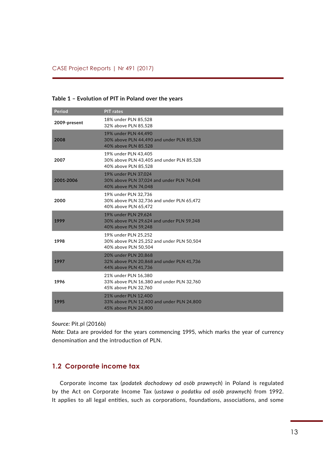#### **Table 1 – Evolution of PIT in Poland over the years**

| Period       | <b>PIT</b> rates                                                                          |
|--------------|-------------------------------------------------------------------------------------------|
| 2009-present | 18% under PLN 85,528<br>32% above PLN 85,528                                              |
| 2008         | 19% under PLN 44.490<br>30% above PLN 44,490 and under PLN 85,528<br>40% above PLN 85.528 |
| 2007         | 19% under PLN 43,405<br>30% above PLN 43,405 and under PLN 85,528<br>40% above PLN 85,528 |
| 2001-2006    | 19% under PLN 37,024<br>30% above PLN 37,024 and under PLN 74,048<br>40% above PLN 74,048 |
| 2000         | 19% under PLN 32,736<br>30% above PLN 32,736 and under PLN 65,472<br>40% above PLN 65,472 |
| 1999         | 19% under PLN 29,624<br>30% above PLN 29,624 and under PLN 59,248<br>40% above PLN 59,248 |
| 1998         | 19% under PLN 25,252<br>30% above PLN 25,252 and under PLN 50,504<br>40% above PLN 50.504 |
| 1997         | 20% under PLN 20,868<br>32% above PLN 20,868 and under PLN 41,736<br>44% above PLN 41,736 |
| 1996         | 21% under PLN 16,380<br>33% above PLN 16,380 and under PLN 32,760<br>45% above PLN 32,760 |
| 1995         | 21% under PLN 12,400<br>33% above PLN 12,400 and under PLN 24,800<br>45% above PLN 24,800 |

*Source:* Pit.pl (2016b)

*Note:* Data are provided for the years commencing 1995, which marks the year of currency denomination and the introduction of PLN.

#### **1.2 Corporate income tax**

Corporate income tax (*podatek dochodowy od osób prawnych*) in Poland is regulated by the Act on Corporate Income Tax (*ustawa o podatku od osób prawnych*) from 1992. It applies to all legal entities, such as corporations, foundations, associations, and some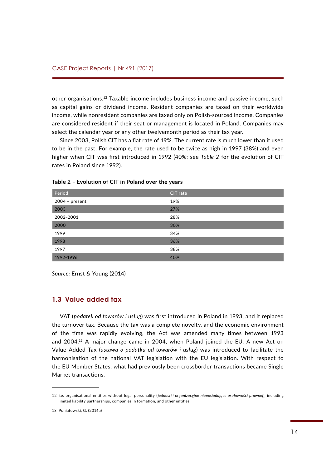other organisations.12 Taxable income includes business income and passive income, such as capital gains or dividend income. Resident companies are taxed on their worldwide income, while nonresident companies are taxed only on Polish-sourced income. Companies are considered resident if their seat or management is located in Poland. Companies may select the calendar year or any other twelvemonth period as their tax year.

Since 2003, Polish CIT has a flat rate of 19%. The current rate is much lower than it used to be in the past. For example, the rate used to be twice as high in 1997 (38%) and even higher when CIT was first introduced in 1992 (40%; see *Table 2* for the evolution of CIT rates in Poland since 1992).

| Period         | <b>CIT</b> rate |
|----------------|-----------------|
| 2004 - present | 19%             |
| 2003           | 27%             |
| 2002-2001      | 28%             |
| 2000           | 30%             |
| 1999           | 34%             |
| 1998           | 36%             |
| 1997           | 38%             |
| 1992-1996      | 40%             |

| Table 2 - Evolution of CIT in Poland over the years |  |
|-----------------------------------------------------|--|
|-----------------------------------------------------|--|

*Source:* Ernst & Young (2014)

#### **1.3 Value added tax**

VAT (*podatek od towarów i usług*) was first introduced in Poland in 1993, and it replaced the turnover tax. Because the tax was a complete novelty, and the economic environment of the time was rapidly evolving, the Act was amended many times between 1993 and 2004.13 A major change came in 2004, when Poland joined the EU. A new Act on Value Added Tax (*ustawa o podatku od towarów i usług*) was introduced to facilitate the harmonisation of the national VAT legislation with the EU legislation. With respect to the EU Member States, what had previously been crossborder transactions became Single Market transactions.

<sup>12</sup> i.e. organisational entities without legal personality (*jednostki organizacyjne nieposiadające osobowości prawnej*), including limited liability partnerships, companies in formation, and other entities.

<sup>13</sup> Poniatowski, G. (2016a)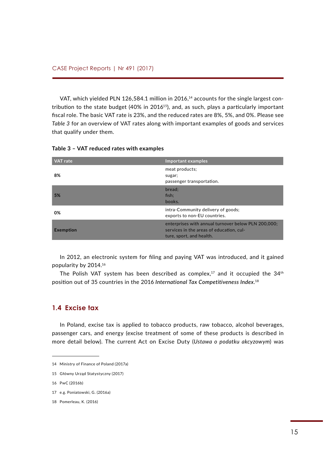VAT, which yielded PLN 126,584.1 million in 2016,<sup>14</sup> accounts for the single largest contribution to the state budget  $(40\%$  in 2016<sup>15</sup>), and, as such, plays a particularly important fiscal role. The basic VAT rate is 23%, and the reduced rates are 8%, 5%, and 0%. Please see *Table 3* for an overview of VAT rates along with important examples of goods and services that qualify under them.

| <b>VAT</b> rate  | Important examples                                                                                                          |
|------------------|-----------------------------------------------------------------------------------------------------------------------------|
| 8%               | meat products;<br>sugar;<br>passenger transportation.                                                                       |
| 5%               | bread:<br>fish:<br>books.                                                                                                   |
| 0%               | intra-Community delivery of goods;<br>exports to non-EU countries.                                                          |
| <b>Exemption</b> | enterprises with annual turnover below PLN 200,000;<br>services in the areas of education, cul-<br>ture, sport, and health. |

**Table 3 – VAT reduced rates with examples**

In 2012, an electronic system for filing and paying VAT was introduced, and it gained popularity by 2014.<sup>16</sup>

The Polish VAT system has been described as complex,<sup>17</sup> and it occupied the 34<sup>th</sup> position out of 35 countries in the 2016 *International Tax Competitiveness Index*. 18

#### **1.4 Excise tax**

In Poland, excise tax is applied to tobacco products, raw tobacco, alcohol beverages, passenger cars, and energy (excise treatment of some of these products is described in more detail below). The current Act on Excise Duty (*Ustawa o podatku akcyzowym*) was

<sup>14</sup> Ministry of Finance of Poland (2017a)

<sup>15</sup> Główny Urząd Statystyczny (2017)

<sup>16</sup> PwC (2016b)

<sup>17</sup> e.g. Poniatowski, G. (2016a)

<sup>18</sup> Pomerleau, K. (2016)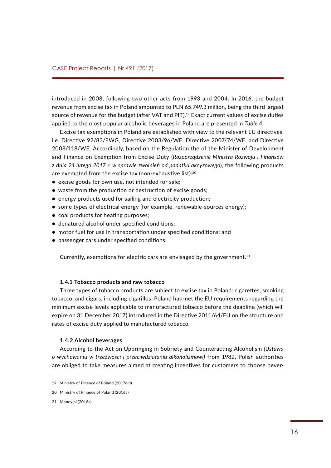introduced in 2008, following two other acts from 1993 and 2004. In 2016, the budget revenue from excise tax in Poland amounted to PLN 65,749.3 million, being the third largest source of revenue for the budget (after VAT and PIT).19 Exact current values of excise duties applied to the most popular alcoholic beverages in Poland are presented in *Table 4*.

Excise tax exemptions in Poland are established with view to the relevant EU directives, i.e. Directive 92/83/EWG, Directive 2003/96/WE, Directive 2007/74/WE, and Directive 2008/118/WE. Accordingly, based on the Regulation the of the Minister of Development and Finance on Exemption from Excise Duty (*Rozporządzenie Ministra Rozwoju i Finansów z dnia 24 lutego 2017 r. w sprawie zwolnień od podatku akcyzowego*), the following products are exempted from the excise tax (non-exhaustive list):<sup>20</sup>

- excise goods for own use, not intended for sale;
- waste from the production or destruction of excise goods;
- energy products used for sailing and electricity production;
- some types of electrical energy (for example, renewable-sources energy);
- coal products for heating purposes;
- denatured alcohol under specified conditions;
- motor fuel for use in transportation under specified conditions; and
- passenger cars under specified conditions.

Currently, exemptions for electric cars are envisaged by the government. $21$ 

#### **1.4.1 Tobacco products and raw tobacco**

Three types of tobacco products are subject to excise tax in Poland: cigarettes, smoking tobacco, and cigars, including cigarillos. Poland has met the EU requirements regarding the minimum excise levels applicable to manufactured tobacco before the deadline (which will expire on 31 December 2017) introduced in the Directive 2011/64/EU on the structure and rates of excise duty applied to manufactured tobacco.

#### **1.4.2 Alcohol beverages**

According to the Act on Upbringing in Sobriety and Counteracting Alcoholism *(Ustawa o wychowaniu w trzeźwości i przeciwdziałaniu alkoholizmowi)* from 1982, Polish authorities are obliged to take measures aimed at creating incentives for customers to choose bever-

<sup>19</sup> Ministry of Finance of Poland (2017c-d)

<sup>20</sup> Ministry of Finance of Poland (2016a)

<sup>21</sup> Money.pl (2016a)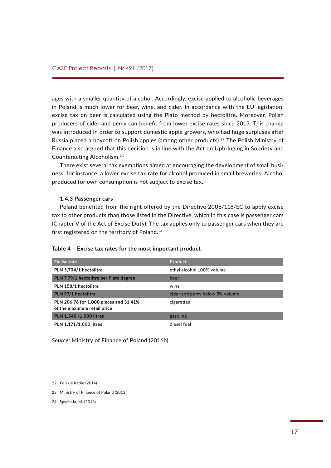ages with a smaller quantity of alcohol. Accordingly, excise applied to alcoholic beverages in Poland is much lower for beer, wine, and cider. In accordance with the EU legislation, excise tax on beer is calculated using the Plato method by hectolitre. Moreover, Polish producers of cider and perry can benefit from lower excise rates since 2013. This change was introduced in order to support domestic apple growers, who had huge surpluses after Russia placed a boycott on Polish apples (among other products).22 The Polish Ministry of Finance also argued that this decision is in line with the Act on Upbringing in Sobriety and Counteracting Alcoholism.<sup>23</sup>

There exist several tax exemptions aimed at encouraging the development of small business, for instance, a lower excise tax rate for alcohol produced in small breweries. Alcohol produced for own consumption is not subject to excise tax.

#### **1.4.3 Passenger cars**

Poland benefited from the right offered by the Directive 2008/118/EC to apply excise tax to other products than those listed in the Directive, which in this case is passenger cars (Chapter V of the Act of Excise Duty). The tax applies only to passenger cars when they are first registered on the territory of Poland.24

#### **Table 4 – Excise tax rates for the most important product**

| <b>Excise rate</b>                                                    | Product                         |
|-----------------------------------------------------------------------|---------------------------------|
| PLN 5,704/1 hectolitre                                                | ethyl alcohol 100% volume       |
| PLN 7.79/1 hectolitre per Plato degree                                | beer                            |
| PLN 158/1 hectolitre                                                  | wine                            |
| PLN 97/1 hectolitre                                                   | cider and perry below 5% volume |
| PLN 206.76 for 1,000 pieces and 31.41%<br>of the maximum retail price | cigarettes                      |
| PLN 1,540 /1,000 litres                                               | gasoline                        |
| PLN 1,171/1,000 litres                                                | diesel fuel                     |

*Source:* Ministry of Finance of Poland (2016b)

<sup>22</sup> Polskie Radio (2014)

<sup>23</sup> Ministry of Finance of Poland (2013)

<sup>24</sup> Spychała, M. (2016)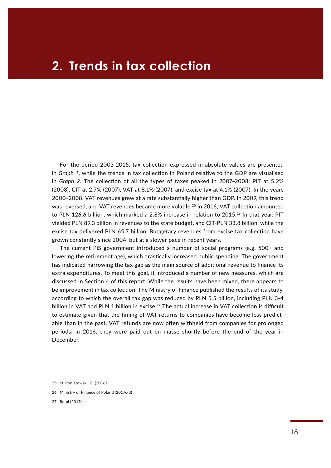For the period 2003-2015, tax collection expressed in absolute values are presented in *Graph 1*, while the trends in tax collection in Poland relative to the GDP are visualised in *Graph* 2. The collection of all the types of taxes peaked in 2007-2008: PIT at 5.2% (2008), CIT at 2.7% (2007), VAT at 8.1% (2007), and excise tax at 4.1% (2007). In the years 2000‒2008, VAT revenues grew at a rate substantially higher than GDP. In 2009, this trend was reversed, and VAT revenues became more volatile.<sup>25</sup> In 2016, VAT collection amounted to PLN 126.6 billion, which marked a 2.8% increase in relation to 2015.<sup>26</sup> In that year, PIT yielded PLN 89.3 billion in revenues to the state budget, and CIT-PLN 33.8 billion, while the excise tax delivered PLN 65.7 billion. Budgetary revenues from excise tax collection have grown constantly since 2004, but at a slower pace in recent years.

The current PiS government introduced a number of social programs (e.g. 500+ and lowering the retirement age), which drastically increased public spending. The government has indicated narrowing the tax gap as the main source of additional revenue to finance its extra expenditures. To meet this goal, it introduced a number of new measures, which are discussed in Section 4 of this report. While the results have been mixed, there appears to be improvement in tax collection. The Ministry of Finance published the results of its study, according to which the overall tax gap was reduced by PLN 5.5 billion, including PLN 3-4 billion in VAT and PLN 1 billion in excise.<sup>27</sup> The actual increase in VAT collection is difficult to estimate given that the timing of VAT returns to companies have become less predictable than in the past. VAT refunds are now often withheld from companies for prolonged periods; in 2016, they were paid out en masse shortly before the end of the year in December.

<sup>25</sup> cf. Poniatowski, G. (2016a)

<sup>26</sup> Ministry of Finance of Poland (2017c-d)

<sup>27</sup> Rp.pl (2017a)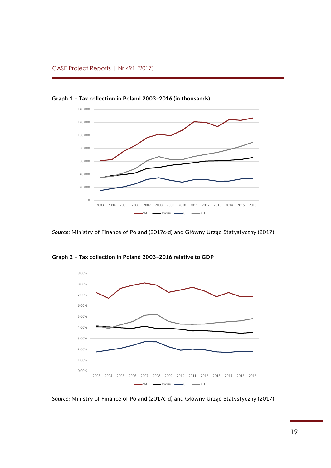

**Graph 1 – Tax collection in Poland 2003–2016 (in thousands)** *Graph 1 – Tax collection in Poland 2003-2016 (in thousands)*

*Source:* Ministry of Finance of Poland (2017c-d) and Główny Urząd Statystyczny (2017) VAT excise CIT PIT



**Graph 2 – Tax collection in Poland 2003–2016 relative to GDP**

*Source:* Ministry of Finance of Poland (2017c-d) and Główny Urząd Statystyczny (2017) *Source: Ministry of Finance of Poland (2017c-d) and Główny Urząd Statystyczny (2017)*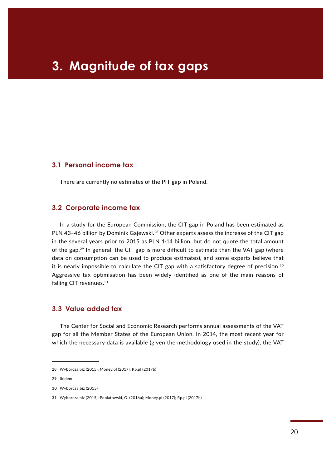### CASE Working Paper | No 1 (2015) **3. Magnitude of tax gaps**

#### **3.1 Personal income tax**

There are currently no estimates of the PIT gap in Poland.

#### **3.2 Corporate income tax**

In a study for the European Commission, the CIT gap in Poland has been estimated as PLN 43-46 billion by Dominik Gajewski.<sup>28</sup> Other experts assess the increase of the CIT gap in the several years prior to 2015 as PLN 1-14 billion, but do not quote the total amount of the gap.29 In general, the CIT gap is more difficult to estimate than the VAT gap (where data on consumption can be used to produce estimates), and some experts believe that it is nearly impossible to calculate the CIT gap with a satisfactory degree of precision. $30$ Aggressive tax optimisation has been widely identified as one of the main reasons of falling CIT revenues.<sup>31</sup>

#### **3.3 Value added tax**

The Center for Social and Economic Research performs annual assessments of the VAT gap for all the Member States of the European Union. In 2014, the most recent year for which the necessary data is available (given the methodology used in the study), the VAT

<sup>28</sup> Wyborcza.biz (2015); Money.pl (2017); Rp.pl (2017b)

<sup>29</sup> Ibidem

<sup>30</sup> Wyborcza.biz (2015)

<sup>31</sup> Wyborcza.biz (2015); Poniatowski, G. (2016a); Money.pl (2017); Rp.pl (2017b)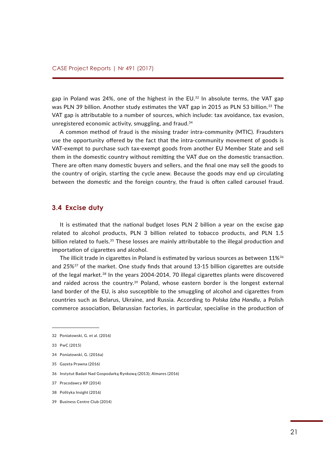gap in Poland was 24%, one of the highest in the EU.<sup>32</sup> In absolute terms, the VAT gap was PLN 39 billion. Another study estimates the VAT gap in 2015 as PLN 53 billion.<sup>33</sup> The VAT gap is attributable to a number of sources, which include: tax avoidance, tax evasion, unregistered economic activity, smuggling, and fraud.34

A common method of fraud is the missing trader intra-community (MTIC). Fraudsters use the opportunity offered by the fact that the intra-community movement of goods is VAT-exempt to purchase such tax-exempt goods from another EU Member State and sell them in the domestic country without remitting the VAT due on the domestic transaction. There are often many domestic buyers and sellers, and the final one may sell the goods to the country of origin, starting the cycle anew. Because the goods may end up circulating between the domestic and the foreign country, the fraud is often called carousel fraud.

#### **3.4 Excise duty**

It is estimated that the national budget loses PLN 2 billion a year on the excise gap related to alcohol products, PLN 3 billion related to tobacco products, and PLN 1.5 billion related to fuels.<sup>35</sup> These losses are mainly attributable to the illegal production and importation of cigarettes and alcohol.

The illicit trade in cigarettes in Poland is estimated by various sources as between 11%<sup>36</sup> and 25%37 of the market. One study finds that around 13-15 billion cigarettes are outside of the legal market.38 In the years 2004-2014, 70 illegal cigarettes plants were discovered and raided across the country.<sup>39</sup> Poland, whose eastern border is the longest external land border of the EU, is also susceptible to the smuggling of alcohol and cigarettes from countries such as Belarus, Ukraine, and Russia. According to *Polska Izba Handlu*, a Polish commerce association, Belarussian factories, in particular, specialise in the production of

<sup>32</sup> Poniatowski, G. et al. (2016)

<sup>33</sup> PwC (2015)

<sup>34</sup> Poniatowski, G. (2016a)

<sup>35</sup> Gazeta Prawna (2016)

<sup>36</sup> Instytut Badań Nad Gospodarką Rynkową (2013); Almares (2016)

<sup>37</sup> Pracodawcy RP (2014)

<sup>38</sup> Polityka Insight (2016)

<sup>39</sup> Business Centre Club (2014)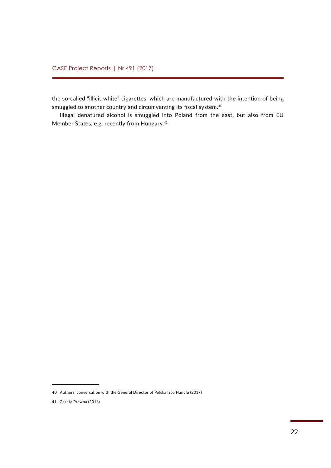the so-called "illicit white" cigarettes, which are manufactured with the intention of being smuggled to another country and circumventing its fiscal system.<sup>40</sup>

Illegal denatured alcohol is smuggled into Poland from the east, but also from EU Member States, e.g. recently from Hungary.41

<sup>40</sup> Authors' conversation with the General Director of Polska Izba Handlu (2017)

<sup>41</sup> Gazeta Prawna (2016)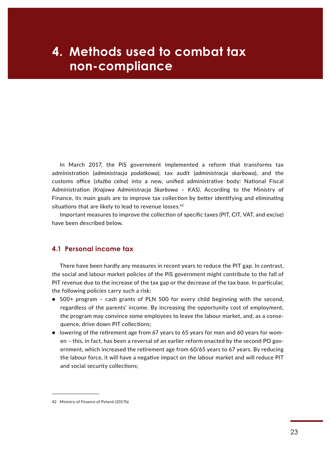### **case in the non-compliance 4. Methods used to combat tax**

In March 2017, the PiS government implemented a reform that transforms tax administration (*administracja podatkowa*), tax audit (*administracja skarbowa*), and the customs office (*służba celna*) into a new, unified administrative body: National Fiscal Administration *(Krajowa Administracja Skarbowa* – *KAS)*. According to the Ministry of Finance, its main goals are to improve tax collection by better identifying and eliminating situations that are likely to lead to revenue losses.<sup>42</sup>

Important measures to improve the collection of specific taxes (PIT, CIT, VAT, and excise) have been described below.

#### **4.1 Personal income tax**

There have been hardly any measures in recent years to reduce the PIT gap. In contrast, the social and labour market policies of the PiS government might contribute to the fall of PIT revenue due to the increase of the tax gap or the decrease of the tax base. In particular, the following policies carry such a risk:

- 500+ program cash grants of PLN 500 for every child beginning with the second, regardless of the parents' income. By increasing the opportunity cost of employment, the program may convince some employees to leave the labour market, and, as a consequence, drive down PIT collections;
- lowering of the retirement age from 67 years to 65 years for men and 60 years for women – this, in fact, has been a reversal of an earlier reform enacted by the second PO government, which increased the retirement age from 60/65 years to 67 years. By reducing the labour force, it will have a negative impact on the labour market and will reduce PIT and social security collections;

<sup>42</sup> Ministry of Finance of Poland (2017b)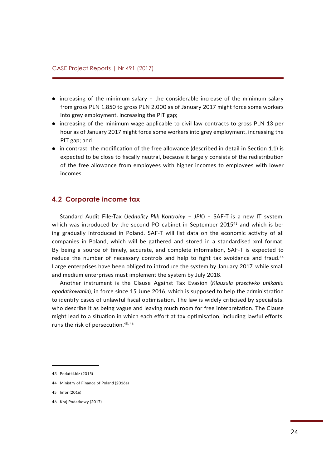- increasing of the minimum salary the considerable increase of the minimum salary from gross PLN 1,850 to gross PLN 2,000 as of January 2017 might force some workers into grey employment, increasing the PIT gap;
- increasing of the minimum wage applicable to civil law contracts to gross PLN 13 per hour as of January 2017 might force some workers into grey employment, increasing the PIT gap; and
- in contrast, the modification of the free allowance (described in detail in Section 1.1) is expected to be close to fiscally neutral, because it largely consists of the redistribution of the free allowance from employees with higher incomes to employees with lower incomes.

#### **4.2 Corporate income tax**

Standard Audit File-Tax (*Jednolity Plik Kontrolny* – *JPK*) – SAF-T is a new IT system, which was introduced by the second PO cabinet in September 2015<sup>43</sup> and which is being gradually introduced in Poland. SAF-T will list data on the economic activity of all companies in Poland, which will be gathered and stored in a standardised xml format. By being a source of timely, accurate, and complete information, SAF-T is expected to reduce the number of necessary controls and help to fight tax avoidance and fraud.<sup>44</sup> Large enterprises have been obliged to introduce the system by January 2017, while small and medium enterprises must implement the system by July 2018.

Another instrument is the Clause Against Tax Evasion (*Klauzula przeciwko unikaniu opodatkowania*), in force since 15 June 2016, which is supposed to help the administration to identify cases of unlawful fiscal optimisation. The law is widely criticised by specialists, who describe it as being vague and leaving much room for free interpretation. The Clause might lead to a situation in which each effort at tax optimisation, including lawful efforts, runs the risk of persecution.<sup>45, 46</sup>

<sup>43</sup> Podatki.biz (2015)

<sup>44</sup> Ministry of Finance of Poland (2016a)

<sup>45</sup> Infor (2016)

<sup>46</sup> Kraj Podatkowy (2017)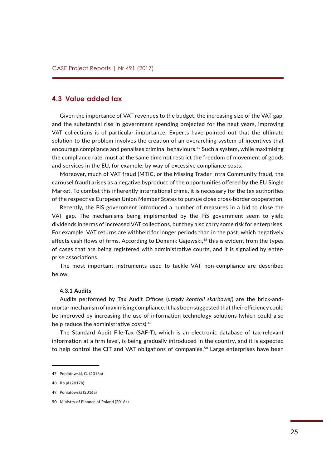#### **4.3 Value added tax**

Given the importance of VAT revenues to the budget, the increasing size of the VAT gap, and the substantial rise in government spending projected for the next years, improving VAT collections is of particular importance. Experts have pointed out that the ultimate solution to the problem involves the creation of an overarching system of incentives that encourage compliance and penalises criminal behaviours.47 Such a system, while maximising the compliance rate, must at the same time not restrict the freedom of movement of goods and services in the EU, for example, by way of excessive compliance costs.

Moreover, much of VAT fraud (MTIC, or the Missing Trader Intra Community fraud, the carousel fraud) arises as a negative byproduct of the opportunities offered by the EU Single Market. To combat this inherently international crime, it is necessary for the tax authorities of the respective European Union Member States to pursue close cross-border cooperation.

Recently, the PiS government introduced a number of measures in a bid to close the VAT gap. The mechanisms being implemented by the PiS government seem to yield dividends in terms of increased VAT collections, but they also carry some risk for enterprises. For example, VAT returns are withheld for longer periods than in the past, which negatively affects cash flows of firms. According to Dominik Gajewski,<sup>48</sup> this is evident from the types of cases that are being registered with administrative courts, and it is signalled by enterprise associations.

The most important instruments used to tackle VAT non-compliance are described below.

#### **4.3.1 Audits**

Audits performed by Tax Audit Offices (*urzędy kontroli skarbowej*) are the brick-andmortar mechanism of maximising compliance. It has been suggested that their efficiency could be improved by increasing the use of information technology solutions (which could also help reduce the administrative costs).<sup>49</sup>

The Standard Audit File-Tax (SAF-T), which is an electronic database of tax-relevant information at a firm level, is being gradually introduced in the country, and it is expected to help control the CIT and VAT obligations of companies.<sup>50</sup> Large enterprises have been

<sup>47</sup> Poniatowski, G. (2016a)

<sup>48</sup> Rp.pl (2017b)

<sup>49</sup> Poniatowski (2016a)

<sup>50</sup> Ministry of Finance of Poland (2016a)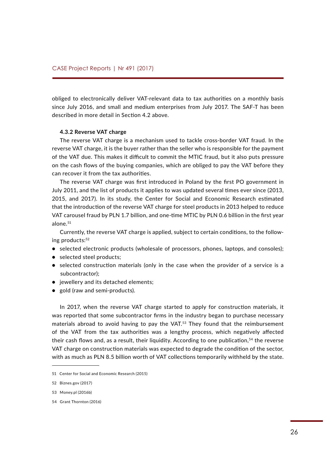obliged to electronically deliver VAT-relevant data to tax authorities on a monthly basis since July 2016, and small and medium enterprises from July 2017. The SAF-T has been described in more detail in Section 4.2 above.

#### **4.3.2 Reverse VAT charge**

The reverse VAT charge is a mechanism used to tackle cross-border VAT fraud. In the reverse VAT charge, it is the buyer rather than the seller who is responsible for the payment of the VAT due. This makes it difficult to commit the MTIC fraud, but it also puts pressure on the cash flows of the buying companies, which are obliged to pay the VAT before they can recover it from the tax authorities.

The reverse VAT charge was first introduced in Poland by the first PO government in July 2011, and the list of products it applies to was updated several times ever since (2013, 2015, and 2017). In its study, the Center for Social and Economic Research estimated that the introduction of the reverse VAT charge for steel products in 2013 helped to reduce VAT carousel fraud by PLN 1.7 billion, and one-time MTIC by PLN 0.6 billion in the first year alone.<sup>51</sup>

Currently, the reverse VAT charge is applied, subject to certain conditions, to the following products:<sup>52</sup>

- selected electronic products (wholesale of processors, phones, laptops, and consoles);
- selected steel products;
- selected construction materials (only in the case when the provider of a service is a subcontractor);
- jewellery and its detached elements;
- gold (raw and semi-products).

In 2017, when the reverse VAT charge started to apply for construction materials, it was reported that some subcontractor firms in the industry began to purchase necessary materials abroad to avoid having to pay the VAT.<sup>53</sup> They found that the reimbursement of the VAT from the tax authorities was a lengthy process, which negatively affected their cash flows and, as a result, their liquidity. According to one publication,<sup>54</sup> the reverse VAT charge on construction materials was expected to degrade the condition of the sector, with as much as PLN 8.5 billion worth of VAT collections temporarily withheld by the state.

<sup>51</sup> Center for Social and Economic Research (2015)

<sup>52</sup> Biznes.gov (2017)

<sup>53</sup> Money.pl (2016b)

<sup>54</sup> Grant Thornton (2016)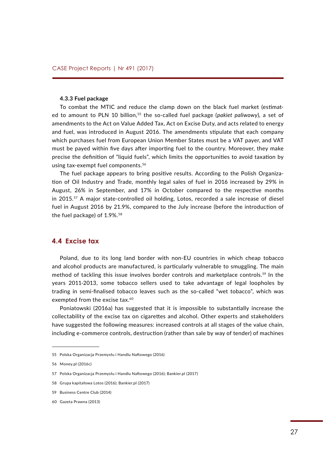#### **4.3.3 Fuel package**

To combat the MTIC and reduce the clamp down on the black fuel market (estimated to amount to PLN 10 billion,55 the so-called fuel package (*pakiet paliwowy*), a set of amendments to the Act on Value Added Tax, Act on Excise Duty, and acts related to energy and fuel, was introduced in August 2016. The amendments stipulate that each company which purchases fuel from European Union Member States must be a VAT payer, and VAT must be payed within five days after importing fuel to the country. Moreover, they make precise the definition of "liquid fuels", which limits the opportunities to avoid taxation by using tax-exempt fuel components.<sup>56</sup>

The fuel package appears to bring positive results. According to the Polish Organization of Oil Industry and Trade, monthly legal sales of fuel in 2016 increased by 29% in August, 26% in September, and 17% in October compared to the respective months in 2015.57 A major state-controlled oil holding, Lotos, recorded a sale increase of diesel fuel in August 2016 by 21.9%, compared to the July increase (before the introduction of the fuel package) of 1.9%.<sup>58</sup>

#### **4.4 Excise tax**

Poland, due to its long land border with non-EU countries in which cheap tobacco and alcohol products are manufactured, is particularly vulnerable to smuggling. The main method of tackling this issue involves border controls and marketplace controls.<sup>59</sup> In the years 2011-2013, some tobacco sellers used to take advantage of legal loopholes by trading in semi-finalised tobacco leaves such as the so-called "wet tobacco", which was exempted from the excise tax.<sup>60</sup>

Poniatowski (2016a) has suggested that it is impossible to substantially increase the collectability of the excise tax on cigarettes and alcohol. Other experts and stakeholders have suggested the following measures: increased controls at all stages of the value chain, including e-commerce controls, destruction (rather than sale by way of tender) of machines

<sup>55</sup> Polska Organizacja Przemysłu i Handlu Naftowego (2016)

<sup>56</sup> Money.pl (2016c)

<sup>57</sup> Polska Organizacja Przemysłu i Handlu Naftowego (2016); Bankier.pl (2017)

<sup>58</sup> Grupa kapitałowa Lotos (2016); Bankier.pl (2017)

<sup>59</sup> Business Centre Club (2014)

<sup>60</sup> Gazeta Prawna (2013)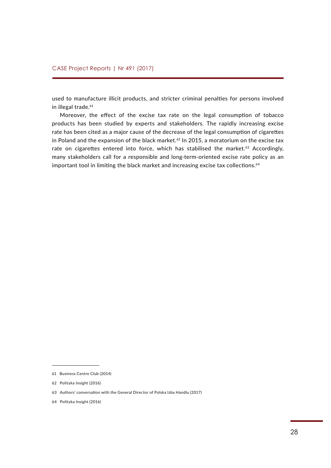used to manufacture illicit products, and stricter criminal penalties for persons involved in illegal trade.<sup>61</sup>

Moreover, the effect of the excise tax rate on the legal consumption of tobacco products has been studied by experts and stakeholders. The rapidly increasing excise rate has been cited as a major cause of the decrease of the legal consumption of cigarettes in Poland and the expansion of the black market. $62$  In 2015, a moratorium on the excise tax rate on cigarettes entered into force, which has stabilised the market.<sup>63</sup> Accordingly, many stakeholders call for a responsible and long-term-oriented excise rate policy as an important tool in limiting the black market and increasing excise tax collections.<sup>64</sup>

<sup>61</sup> Business Centre Club (2014)

<sup>62</sup> Polityka Insight (2016)

<sup>63</sup> Authors' conversation with the General Director of Polska Izba Handlu (2017)

<sup>64</sup> Polityka Insight (2016)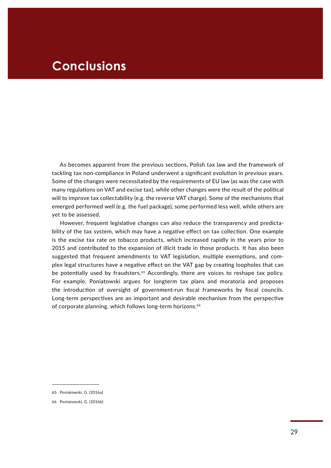### **Conclusions**

As becomes apparent from the previous sections, Polish tax law and the framework of tackling tax non-compliance in Poland underwent a significant evolution in previous years. Some of the changes were necessitated by the requirements of EU law (as was the case with many regulations on VAT and excise tax), while other changes were the result of the political will to improve tax collectability (e.g. the reverse VAT charge). Some of the mechanisms that emerged performed well (e.g. the fuel package), some performed less well, while others are yet to be assessed.

However, frequent legislative changes can also reduce the transparency and predictability of the tax system, which may have a negative effect on tax collection. One example is the excise tax rate on tobacco products, which increased rapidly in the years prior to 2015 and contributed to the expansion of illicit trade in those products. It has also been suggested that frequent amendments to VAT legislation, multiple exemptions, and complex legal structures have a negative effect on the VAT gap by creating loopholes that can be potentially used by fraudsters.<sup>65</sup> Accordingly, there are voices to reshape tax policy. For example, Poniatowski argues for longterm tax plans and moratoria and proposes the introduction of oversight of government-run fiscal frameworks by fiscal councils. Long-term perspectives are an important and desirable mechanism from the perspective of corporate planning, which follows long-term horizons.<sup>66</sup>

<sup>65</sup> Poniatowski, G. (2016a)

<sup>66</sup> Poniatowski, G. (2016b)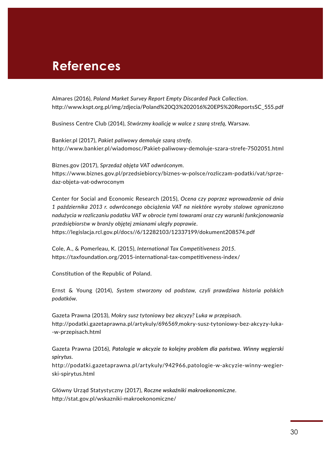### **References**

Almares (2016), *Poland Market Survey Report Empty Discarded Pack Collection*. [http://www.kspt.org.pl/img/zdjecia/Poland%20Q3%202016%20EPS%20ReportsSC\\_555.pdf](http://www.kspt.org.pl/img/zdjecia/Poland%20Q3%202016%20EPS%20ReportsSC_555.pdf)

Business Centre Club (2014), *Stwórzmy koalicję w walce z szarą strefą,* Warsaw.

Bankier.pl (2017), *Pakiet paliwowy demoluje szarą strefę*. <http://www.bankier.pl/wiadomosc/Pakiet-paliwowy-demoluje-szara-strefe-7502051.html>

Biznes.gov (2017), *Sprzedaż objęta VAT odwróconym*. [https://www.biznes.gov.pl/przedsiebiorcy/biznes-w-polsce/rozliczam-podatki/vat/sprze](https://www.biznes.gov.pl/przedsiebiorcy/biznes-w-polsce/rozliczam-podatki/vat/sprzedaz-objeta-vat-odwroconym)[daz-objeta-vat-odwroconym](https://www.biznes.gov.pl/przedsiebiorcy/biznes-w-polsce/rozliczam-podatki/vat/sprzedaz-objeta-vat-odwroconym)

Center for Social and Economic Research (2015), *Ocena czy poprzez wprowadzenie od dnia 1 października 2013 r. odwróconego obciążenia VAT na niektóre wyroby stalowe ograniczono nadużycia w rozliczaniu podatku VAT w obrocie tymi towarami oraz czy warunki funkcjonowania przedsiębiorstw w branży objętej zmianami uległy poprawie*. <https://legislacja.rcl.gov.pl/docs//6/12282103/12337199/dokument208574.pdf>

Cole, A., & Pomerleau, K. (2015), *International Tax Competitiveness 2015*. <https://taxfoundation.org/2015-international-tax-competitiveness-index/>

Constitution of the Republic of Poland.

Ernst & Young (2014), *System stworzony od podstaw, czyli prawdziwa historia polskich podatków*.

Gazeta Prawna (2013), *Mokry susz tytoniowy bez akcyzy? Luka w przepisach.* [http://podatki.gazetaprawna.pl/artykuly/696569,mokry-susz-tytoniowy-bez-akcyzy-luka-](http://podatki.gazetaprawna.pl/artykuly/696569,mokry-susz-tytoniowy-bez-akcyzy-luka-w-przepisach.html) [-w-przepisach.html](http://podatki.gazetaprawna.pl/artykuly/696569,mokry-susz-tytoniowy-bez-akcyzy-luka-w-przepisach.html)

Gazeta Prawna (2016), *Patologie w akcyzie to kolejny problem dla państwa. Winny węgierski spirytus.* 

[http://podatki.gazetaprawna.pl/artykuly/942966,patologie-w-akcyzie-winny-wegier](http://podatki.gazetaprawna.pl/artykuly/942966,patologie-w-akcyzie-winny-wegierski-spirytus.html)[ski-spirytus.html](http://podatki.gazetaprawna.pl/artykuly/942966,patologie-w-akcyzie-winny-wegierski-spirytus.html)

Główny Urząd Statystyczny (2017), *Roczne wskaźniki makroekonomiczne*. <http://stat.gov.pl/wskazniki-makroekonomiczne/>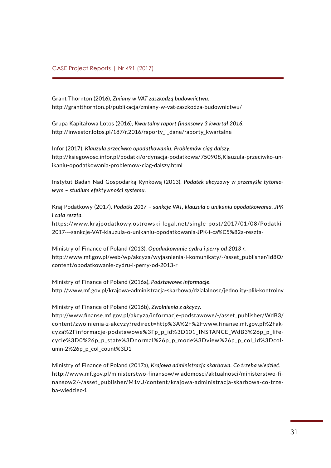Grant Thornton (2016), *Zmiany w VAT zaszkodzą budownictwu*. <http://grantthornton.pl/publikacja/zmiany-w-vat-zaszkodza-budownictwu/>

Grupa Kapitałowa Lotos (2016), *Kwartalny raport finansowy 3 kwartał 2016*. http://inwestor.lotos.pl/187/r,2016/raporty i dane/raporty kwartalne

Infor (2017), *Klauzula przeciwko opodatkowaniu. Problemów ciąg dalszy*. [http://ksiegowosc.infor.pl/podatki/ordynacja-podatkowa/750908,Klauzula-przeciwko-un](http://ksiegowosc.infor.pl/podatki/ordynacja-podatkowa/750908,Klauzula-przeciwko-unikaniu-opodatkowania-problemow-ciag-dalszy.html)[ikaniu-opodatkowania-problemow-ciag-dalszy.html](http://ksiegowosc.infor.pl/podatki/ordynacja-podatkowa/750908,Klauzula-przeciwko-unikaniu-opodatkowania-problemow-ciag-dalszy.html)

Instytut Badań Nad Gospodarką Rynkową (2013), *Podatek akcyzowy w przemyśle tytoniowym – studium efektywności systemu*.

Kraj Podatkowy (2017), *Podatki 2017 – sankcje VAT, klauzula o unikaniu opodatkowania, JPK i cała reszta*.

[https://www.krajpodatkowy.ostrowski-legal.net/single-post/2017/01/08/Podatki-](https://www.krajpodatkowy.ostrowski-legal.net/single-post/2017/01/08/Podatki-2017---sankcje-VAT-klauzula-o-unikaniu-opodatkowania-JPK-i-ca%C5%82a-reszta-)[2017---sankcje-VAT-klauzula-o-unikaniu-opodatkowania-JPK-i-ca%C5%82a-reszta-](https://www.krajpodatkowy.ostrowski-legal.net/single-post/2017/01/08/Podatki-2017---sankcje-VAT-klauzula-o-unikaniu-opodatkowania-JPK-i-ca%C5%82a-reszta-)

Ministry of Finance of Poland (2013), *Opodatkowanie cydru i perry od 2013 r*. [http://www.mf.gov.pl/web/wp/akcyza/wyjasnienia-i-komunikaty/-/asset\\_publisher/Id8O/](http://www.mf.gov.pl/web/wp/akcyza/wyjasnienia-i-komunikaty/-/asset_publisher/Id8O/content/opodatkowanie-cydru-i-perry-od-2013-r) [content/opodatkowanie-cydru-i-perry-od-2013-r](http://www.mf.gov.pl/web/wp/akcyza/wyjasnienia-i-komunikaty/-/asset_publisher/Id8O/content/opodatkowanie-cydru-i-perry-od-2013-r)

Ministry of Finance of Poland (2016a), *Podstawowe informacje*. <http://www.mf.gov.pl/krajowa-administracja-skarbowa/dzialalnosc/jednolity-plik-kontrolny>

Ministry of Finance of Poland (2016b), *Zwolnienia z akcyzy*.

[http://www.finanse.mf.gov.pl/akcyza/informacje-podstawowe/-/asset\\_publisher/WdB3/](http://www.finanse.mf.gov.pl/akcyza/informacje-podstawowe/-/asset_publisher/WdB3/content/zwolnienia-z-akcyzy?redirect=http%3A%2F%2Fwww.finanse.mf.gov.pl%2Fakcyza%2Finformacje-podstawowe%3Fp_p_id%3D101_INSTANCE_WdB3%26p_p_lifecycle%3D0%26p_p_state%3Dnormal%26p_p_mode%3Dview%26p_p_col_id%3Dcolumn-2%26p_p_col_count%3D1) [content/zwolnienia-z-akcyzy?redirect=http%3A%2F%2Fwww.finanse.mf.gov.pl%2Fak](http://www.finanse.mf.gov.pl/akcyza/informacje-podstawowe/-/asset_publisher/WdB3/content/zwolnienia-z-akcyzy?redirect=http%3A%2F%2Fwww.finanse.mf.gov.pl%2Fakcyza%2Finformacje-podstawowe%3Fp_p_id%3D101_INSTANCE_WdB3%26p_p_lifecycle%3D0%26p_p_state%3Dnormal%26p_p_mode%3Dview%26p_p_col_id%3Dcolumn-2%26p_p_col_count%3D1)[cyza%2Finformacje-podstawowe%3Fp\\_p\\_id%3D101\\_INSTANCE\\_WdB3%26p\\_p\\_life](http://www.finanse.mf.gov.pl/akcyza/informacje-podstawowe/-/asset_publisher/WdB3/content/zwolnienia-z-akcyzy?redirect=http%3A%2F%2Fwww.finanse.mf.gov.pl%2Fakcyza%2Finformacje-podstawowe%3Fp_p_id%3D101_INSTANCE_WdB3%26p_p_lifecycle%3D0%26p_p_state%3Dnormal%26p_p_mode%3Dview%26p_p_col_id%3Dcolumn-2%26p_p_col_count%3D1)[cycle%3D0%26p\\_p\\_state%3Dnormal%26p\\_p\\_mode%3Dview%26p\\_p\\_col\\_id%3Dcol](http://www.finanse.mf.gov.pl/akcyza/informacje-podstawowe/-/asset_publisher/WdB3/content/zwolnienia-z-akcyzy?redirect=http%3A%2F%2Fwww.finanse.mf.gov.pl%2Fakcyza%2Finformacje-podstawowe%3Fp_p_id%3D101_INSTANCE_WdB3%26p_p_lifecycle%3D0%26p_p_state%3Dnormal%26p_p_mode%3Dview%26p_p_col_id%3Dcolumn-2%26p_p_col_count%3D1)[umn-2%26p\\_p\\_col\\_count%3D1](http://www.finanse.mf.gov.pl/akcyza/informacje-podstawowe/-/asset_publisher/WdB3/content/zwolnienia-z-akcyzy?redirect=http%3A%2F%2Fwww.finanse.mf.gov.pl%2Fakcyza%2Finformacje-podstawowe%3Fp_p_id%3D101_INSTANCE_WdB3%26p_p_lifecycle%3D0%26p_p_state%3Dnormal%26p_p_mode%3Dview%26p_p_col_id%3Dcolumn-2%26p_p_col_count%3D1)

Ministry of Finance of Poland (2017a), *Krajowa administracja skarbowa. Co trzeba wiedzieć*. [http://www.mf.gov.pl/ministerstwo-finansow/wiadomosci/aktualnosci/ministerstwo-fi](http://www.mf.gov.pl/ministerstwo-finansow/wiadomosci/aktualnosci/ministerstwo-finansow2/-/asset_publisher/M1vU/content/krajowa-administracja-skarbowa-co-trzeba-wiedziec-1)[nansow2/-/asset\\_publisher/M1vU/content/krajowa-administracja-skarbowa-co-trze](http://www.mf.gov.pl/ministerstwo-finansow/wiadomosci/aktualnosci/ministerstwo-finansow2/-/asset_publisher/M1vU/content/krajowa-administracja-skarbowa-co-trzeba-wiedziec-1)[ba-wiedziec-1](http://www.mf.gov.pl/ministerstwo-finansow/wiadomosci/aktualnosci/ministerstwo-finansow2/-/asset_publisher/M1vU/content/krajowa-administracja-skarbowa-co-trzeba-wiedziec-1)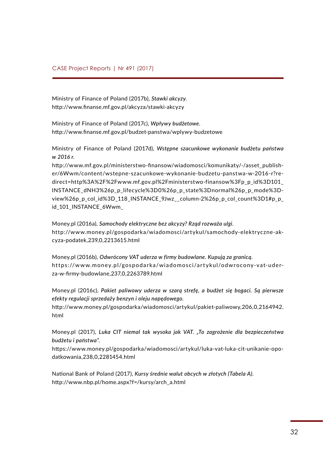Ministry of Finance of Poland (2017b), *Stawki akcyzy*. <http://www.finanse.mf.gov.pl/akcyza/stawki-akcyzy>

Ministry of Finance of Poland (2017c), *Wpływy budżetowe*. <http://www.finanse.mf.gov.pl/budzet-panstwa/wplywy-budzetowe>

Ministry of Finance of Poland (2017d), *Wstępne szacunkowe wykonanie budżetu państwa w 2016 r*.

http://www.mf.gov.pl/ministerstwo-finansow/wiadomosci/komunikaty/-/asset\_publisher/6Wwm/content/wstepne-szacunkowe-wykonanie-budzetu-panstwa-w-2016-r?redirect=http%3A%2F%2Fwww.mf.gov.pl%2Fministerstwo-finansow%3Fp\_p\_id%3D101\_ INSTANCE\_dNH3%26p\_p\_lifecycle%3D0%26p\_p\_state%3Dnormal%26p\_p\_mode%3Dview%26p\_p\_col\_id%3D\_118\_INSTANCE\_9Jwz\_\_column-2%26p\_p\_col\_count%3D1#p\_p\_ id\_101\_INSTANCE\_6Wwm

Money.pl (2016a), *Samochody elektryczne bez akcyzy? Rząd rozważa ulgi*. [http://www.money.pl/gospodarka/wiadomosci/artykul/samochody-elektryczne-ak](http://www.money.pl/gospodarka/wiadomosci/artykul/samochody-elektryczne-akcyza-podatek,239,0,2213615.html)[cyza-podatek,239,0,2213615.html](http://www.money.pl/gospodarka/wiadomosci/artykul/samochody-elektryczne-akcyza-podatek,239,0,2213615.html)

Money.pl (2016b), *Odwrócony VAT uderza w firmy budowlane. Kupują za granicą*. https://www.money.pl/gospodarka/wiadomosci/artykul/odwrocony-vat-uder[za-w-firmy-budowlane,237,0,2263789.html](https://www.money.pl/gospodarka/wiadomosci/artykul/odwrocony-vat-uderza-w-firmy-budowlane,237,0,2263789.html)

Money.pl (2016c), *Pakiet paliwowy uderza w szarą strefę, a budżet się bogaci. Są pierwsze efekty regulacji sprzedaży benzyn i oleju napędowego*.

[http://www.money.pl/gospodarka/wiadomosci/artykul/pakiet-paliwowy,206,0,2164942.](http://www.money.pl/gospodarka/wiadomosci/artykul/pakiet-paliwowy,206,0,2164942.html) [html](http://www.money.pl/gospodarka/wiadomosci/artykul/pakiet-paliwowy,206,0,2164942.html)

Money.pl (2017), *Luka CIT niemal tak wysoka jak VAT. "To zagrożenie dla bezpieczeństwa budżetu i państwa"*.

[https://www.money.pl/gospodarka/wiadomosci/artykul/luka-vat-luka-cit-unikanie-opo](https://www.money.pl/gospodarka/wiadomosci/artykul/luka-vat-luka-cit-unikanie-opodatkowania,238,0,2281454.html)[datkowania,238,0,2281454.html](https://www.money.pl/gospodarka/wiadomosci/artykul/luka-vat-luka-cit-unikanie-opodatkowania,238,0,2281454.html)

National Bank of Poland (2017), *Kursy średnie walut obcych w złotych (Tabela A)*. [http://www.nbp.pl/home.aspx?f=/kursy/arch\\_a.html](http://www.nbp.pl/home.aspx?f=/kursy/arch_a.html)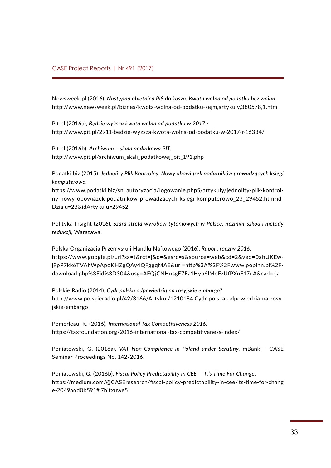Newsweek.pl (2016), *Następna obietnica PiS do kosza. Kwota wolna od podatku bez zmian*. <http://www.newsweek.pl/biznes/kwota-wolna-od-podatku-sejm,artykuly,380578,1.html>

Pit.pl (2016a), *Będzie wyższa kwota wolna od podatku w 2017 r.* <http://www.pit.pl/2911-bedzie-wyzsza-kwota-wolna-od-podatku-w-2017-r-16334/>

Pit.pl (2016b). *Archiwum ‒ skala podatkowa PIT*. [http://www.pit.pl/archiwum\\_skali\\_podatkowej\\_pit\\_191.php](http://www.pit.pl/archiwum_skali_podatkowej_pit_191.php)

Podatki.biz (2015), *Jednolity Plik Kontrolny. Nowy obowiązek podatników prowadzących księgi komputerowo*.

[https://www.podatki.biz/sn\\_autoryzacja/logowanie.php5/artykuly/jednolity-plik-kontrol](https://www.podatki.biz/sn_autoryzacja/logowanie.php5/artykuly/jednolity-plik-kontrolny-nowy-obowiazek-podatnikow-prowadzacych-ksiegi-komputerowo_23_29452.htm?idDzialu=23&idArtykulu=29452)[ny-nowy-obowiazek-podatnikow-prowadzacych-ksiegi-komputerowo\\_23\\_29452.htm?id-](https://www.podatki.biz/sn_autoryzacja/logowanie.php5/artykuly/jednolity-plik-kontrolny-nowy-obowiazek-podatnikow-prowadzacych-ksiegi-komputerowo_23_29452.htm?idDzialu=23&idArtykulu=29452)[Dzialu=23&idArtykulu=29452](https://www.podatki.biz/sn_autoryzacja/logowanie.php5/artykuly/jednolity-plik-kontrolny-nowy-obowiazek-podatnikow-prowadzacych-ksiegi-komputerowo_23_29452.htm?idDzialu=23&idArtykulu=29452)

Polityka Insight (2016), *Szara strefa wyrobów tytoniowych w Polsce. Rozmiar szkód i metody redukcji*, Warszawa.

Polska Organizacja Przemysłu i Handlu Naftowego (2016), *Raport roczny 2016*. [https://www.google.pl/url?sa=t&rct=j&q=&esrc=s&source=web&cd=2&ved=0ahUKEw](https://www.google.pl/url?sa=t&rct=j&q=&esrc=s&source=web&cd=2&ved=0ahUKEwj9pP7kk6TVAhWpApoKHZgQAy4QFggqMAE&url=http%3A%2F%2Fwww.popihn.pl%2Fdownload.php%3Fid%3D304&usg=AFQjCNHnsgE7Ea1Hyb6lMoFzUfPXnF17uA&cad=rja)[j9pP7kk6TVAhWpApoKHZgQAy4QFggqMAE&url=http%3A%2F%2Fwww.popihn.pl%2F](https://www.google.pl/url?sa=t&rct=j&q=&esrc=s&source=web&cd=2&ved=0ahUKEwj9pP7kk6TVAhWpApoKHZgQAy4QFggqMAE&url=http%3A%2F%2Fwww.popihn.pl%2Fdownload.php%3Fid%3D304&usg=AFQjCNHnsgE7Ea1Hyb6lMoFzUfPXnF17uA&cad=rja)[download.php%3Fid%3D304&usg=AFQjCNHnsgE7Ea1Hyb6lMoFzUfPXnF17uA&cad=rja](https://www.google.pl/url?sa=t&rct=j&q=&esrc=s&source=web&cd=2&ved=0ahUKEwj9pP7kk6TVAhWpApoKHZgQAy4QFggqMAE&url=http%3A%2F%2Fwww.popihn.pl%2Fdownload.php%3Fid%3D304&usg=AFQjCNHnsgE7Ea1Hyb6lMoFzUfPXnF17uA&cad=rja)

Polskie Radio (2014), *Cydr polską odpowiedzią na rosyjskie embargo?* [http://www.polskieradio.pl/42/3166/Artykul/1210184,Cydr-polska-odpowiedzia-na-rosy](http://www.polskieradio.pl/42/3166/Artykul/1210184,Cydr-polska-odpowiedzia-na-rosyjskie-embargo)[jskie-embargo](http://www.polskieradio.pl/42/3166/Artykul/1210184,Cydr-polska-odpowiedzia-na-rosyjskie-embargo)

Pomerleau, K. (2016), *International Tax Competitiveness 2016*. <https://taxfoundation.org/2016-international-tax-competitiveness-index/>

Poniatowski, G. (2016a), *VAT Non-Compliance in Poland under Scrutiny*, mBank – CASE Seminar Proceedings No. 142/2016.

Poniatowski, G. (2016b), *Fiscal Policy Predictability in CEE  —  It's Time For Change.* https://medium.com/@CASEresearch/fiscal-policy-predictability-in-cee-its-time-for-chang e-2049a6d0b591#.7hitxuwe5